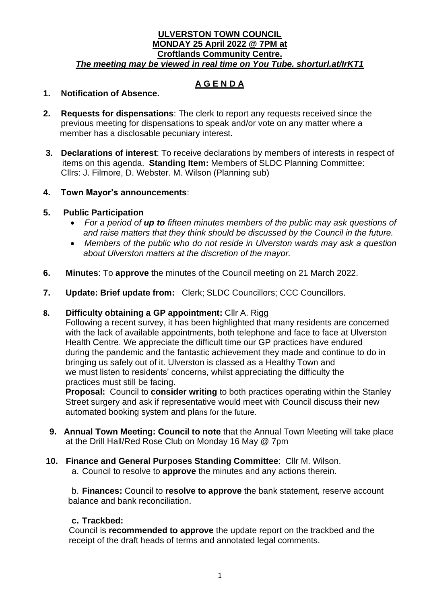### **ULVERSTON TOWN COUNCIL MONDAY 25 April 2022 @ 7PM at Croftlands Community Centre.**  *The meeting may be viewed in real time on You Tube. shorturl.at/IrKT1*

# **A G E N D A**

### **1. Notification of Absence.**

- **2. Requests for dispensations**: The clerk to report any requests received since the previous meeting for dispensations to speak and/or vote on any matter where a member has a disclosable pecuniary interest.
- **3. Declarations of interest**: To receive declarations by members of interests in respect of items on this agenda. **Standing Item:** Members of SLDC Planning Committee: Cllrs: J. Filmore, D. Webster. M. Wilson (Planning sub)

### **4. Town Mayor's announcements**:

### **5. Public Participation**

- *For a period of up to fifteen minutes members of the public may ask questions of and raise matters that they think should be discussed by the Council in the future.*
- *Members of the public who do not reside in Ulverston wards may ask a question about Ulverston matters at the discretion of the mayor.*
- **6. Minutes**: To **approve** the minutes of the Council meeting on 21 March 2022.
- **7. Update: Brief update from:** Clerk; SLDC Councillors; CCC Councillors.

### **8. Difficulty obtaining a GP appointment:** Cllr A. Rigg

 Following a recent survey, it has been highlighted that many residents are concerned with the lack of available appointments, both telephone and face to face at Ulverston Health Centre. We appreciate the difficult time our GP practices have endured during the pandemic and the fantastic achievement they made and continue to do in bringing us safely out of it. Ulverston is classed as a Healthy Town and we must listen to residents' concerns, whilst appreciating the difficulty the practices must still be facing.

 **Proposal:** Council to **consider writing** to both practices operating within the Stanley Street surgery and ask if representative would meet with Council discuss their new automated booking system and plans for the future.

- **9. Annual Town Meeting: Council to note** that the Annual Town Meeting will take place at the Drill Hall/Red Rose Club on Monday 16 May @ 7pm
- **10. Finance and General Purposes Standing Committee**:Cllr M. Wilson. a. Council to resolve to **approve** the minutes and any actions therein.

b. **Finances:** Council to **resolve to approve** the bank statement, reserve account balance and bank reconciliation.

### **c. Trackbed:**

Council is **recommended to approve** the update report on the trackbed and the receipt of the draft heads of terms and annotated legal comments.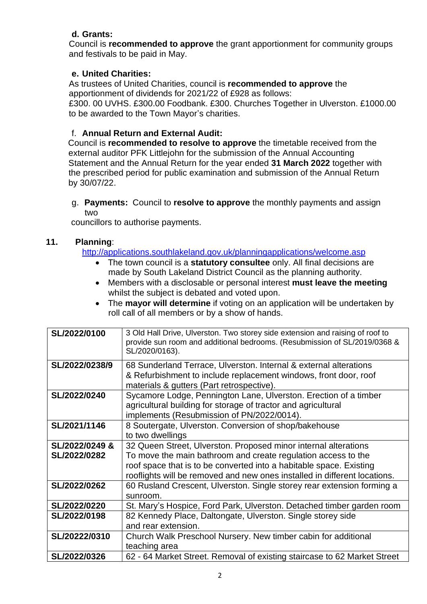# **d. Grants:**

Council is **recommended to approve** the grant apportionment for community groups and festivals to be paid in May.

## **e. United Charities:**

As trustees of United Charities, council is **recommended to approve** the apportionment of dividends for 2021/22 of £928 as follows:

£300. 00 UVHS. £300.00 Foodbank. £300. Churches Together in Ulverston. £1000.00 to be awarded to the Town Mayor's charities.

# f. **Annual Return and External Audit:**

 Council is **recommended to resolve to approve** the timetable received from the external auditor PFK Littlejohn for the submission of the Annual Accounting Statement and the Annual Return for the year ended **31 March 2022** together with the prescribed period for public examination and submission of the Annual Return by 30/07/22.

g. **Payments:** Council to **resolve to approve** the monthly payments and assign two

councillors to authorise payments.

## **11. Planning**:

<http://applications.southlakeland.gov.uk/planningapplications/welcome.asp>

- The town council is a **statutory consultee** only. All final decisions are made by South Lakeland District Council as the planning authority.
- Members with a disclosable or personal interest **must leave the meeting**  whilst the subject is debated and voted upon.
- The **mayor will determine** if voting on an application will be undertaken by roll call of all members or by a show of hands.

| SL/2022/0100   | 3 Old Hall Drive, Ulverston. Two storey side extension and raising of roof to<br>provide sun room and additional bedrooms. (Resubmission of SL/2019/0368 &<br>SL/2020/0163). |
|----------------|------------------------------------------------------------------------------------------------------------------------------------------------------------------------------|
| SL/2022/0238/9 | 68 Sunderland Terrace, Ulverston. Internal & external alterations                                                                                                            |
|                | & Refurbishment to include replacement windows, front door, roof<br>materials & gutters (Part retrospective).                                                                |
| SL/2022/0240   | Sycamore Lodge, Pennington Lane, Ulverston. Erection of a timber                                                                                                             |
|                | agricultural building for storage of tractor and agricultural                                                                                                                |
|                | implements (Resubmission of PN/2022/0014).                                                                                                                                   |
| SL/2021/1146   | 8 Soutergate, Ulverston. Conversion of shop/bakehouse                                                                                                                        |
|                | to two dwellings                                                                                                                                                             |
| SL/2022/0249 & | 32 Queen Street, Ulverston. Proposed minor internal alterations                                                                                                              |
| SL/2022/0282   | To move the main bathroom and create regulation access to the                                                                                                                |
|                | roof space that is to be converted into a habitable space. Existing                                                                                                          |
|                | rooflights will be removed and new ones installed in different locations.                                                                                                    |
| SL/2022/0262   | 60 Rusland Crescent, Ulverston. Single storey rear extension forming a                                                                                                       |
|                | sunroom.                                                                                                                                                                     |
| SL/2022/0220   | St. Mary's Hospice, Ford Park, Ulverston. Detached timber garden room                                                                                                        |
| SL/2022/0198   | 82 Kennedy Place, Daltongate, Ulverston. Single storey side                                                                                                                  |
|                | and rear extension.                                                                                                                                                          |
| SL/20222/0310  | Church Walk Preschool Nursery. New timber cabin for additional                                                                                                               |
|                | teaching area                                                                                                                                                                |
| SL/2022/0326   | 62 - 64 Market Street. Removal of existing staircase to 62 Market Street                                                                                                     |